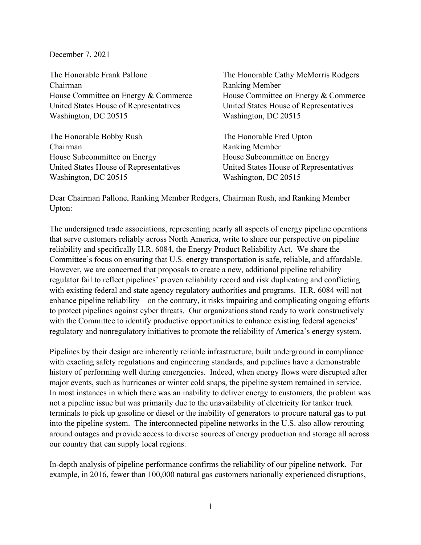## December 7, 2021

The Honorable Frank Pallone Chairman House Committee on Energy & Commerce United States House of Representatives Washington, DC 20515

The Honorable Bobby Rush Chairman House Subcommittee on Energy United States House of Representatives Washington, DC 20515

The Honorable Cathy McMorris Rodgers Ranking Member House Committee on Energy & Commerce United States House of Representatives Washington, DC 20515

The Honorable Fred Upton Ranking Member House Subcommittee on Energy United States House of Representatives Washington, DC 20515

Dear Chairman Pallone, Ranking Member Rodgers, Chairman Rush, and Ranking Member Upton:

The undersigned trade associations, representing nearly all aspects of energy pipeline operations that serve customers reliably across North America, write to share our perspective on pipeline reliability and specifically H.R. 6084, the Energy Product Reliability Act. We share the Committee's focus on ensuring that U.S. energy transportation is safe, reliable, and affordable. However, we are concerned that proposals to create a new, additional pipeline reliability regulator fail to reflect pipelines' proven reliability record and risk duplicating and conflicting with existing federal and state agency regulatory authorities and programs. H.R. 6084 will not enhance pipeline reliability—on the contrary, it risks impairing and complicating ongoing efforts to protect pipelines against cyber threats. Our organizations stand ready to work constructively with the Committee to identify productive opportunities to enhance existing federal agencies' regulatory and nonregulatory initiatives to promote the reliability of America's energy system.

Pipelines by their design are inherently reliable infrastructure, built underground in compliance with exacting safety regulations and engineering standards, and pipelines have a demonstrable history of performing well during emergencies. Indeed, when energy flows were disrupted after major events, such as hurricanes or winter cold snaps, the pipeline system remained in service. In most instances in which there was an inability to deliver energy to customers, the problem was not a pipeline issue but was primarily due to the unavailability of electricity for tanker truck terminals to pick up gasoline or diesel or the inability of generators to procure natural gas to put into the pipeline system. The interconnected pipeline networks in the U.S. also allow rerouting around outages and provide access to diverse sources of energy production and storage all across our country that can supply local regions.

In-depth analysis of pipeline performance confirms the reliability of our pipeline network. For example, in 2016, fewer than 100,000 natural gas customers nationally experienced disruptions,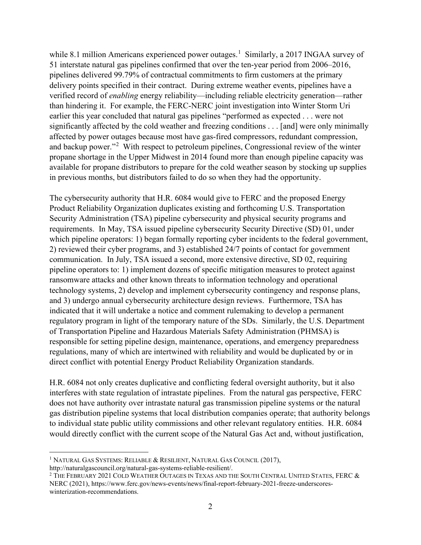while 8.[1](#page-1-0) million Americans experienced power outages.<sup>1</sup> Similarly, a 2017 INGAA survey of 51 interstate natural gas pipelines confirmed that over the ten-year period from 2006–2016, pipelines delivered 99.79% of contractual commitments to firm customers at the primary delivery points specified in their contract. During extreme weather events, pipelines have a verified record of *enabling* energy reliability—including reliable electricity generation—rather than hindering it. For example, the FERC-NERC joint investigation into Winter Storm Uri earlier this year concluded that natural gas pipelines "performed as expected . . . were not significantly affected by the cold weather and freezing conditions . . . [and] were only minimally affected by power outages because most have gas-fired compressors, redundant compression, and backup power."<sup>[2](#page-1-1)</sup> With respect to petroleum pipelines, Congressional review of the winter propane shortage in the Upper Midwest in 2014 found more than enough pipeline capacity was available for propane distributors to prepare for the cold weather season by stocking up supplies in previous months, but distributors failed to do so when they had the opportunity.

The cybersecurity authority that H.R. 6084 would give to FERC and the proposed Energy Product Reliability Organization duplicates existing and forthcoming U.S. Transportation Security Administration (TSA) pipeline cybersecurity and physical security programs and requirements. In May, TSA issued pipeline cybersecurity Security Directive (SD) 01, under which pipeline operators: 1) began formally reporting cyber incidents to the federal government, 2) reviewed their cyber programs, and 3) established 24/7 points of contact for government communication. In July, TSA issued a second, more extensive directive, SD 02, requiring pipeline operators to: 1) implement dozens of specific mitigation measures to protect against ransomware attacks and other known threats to information technology and operational technology systems, 2) develop and implement cybersecurity contingency and response plans, and 3) undergo annual cybersecurity architecture design reviews. Furthermore, TSA has indicated that it will undertake a notice and comment rulemaking to develop a permanent regulatory program in light of the temporary nature of the SDs. Similarly, the U.S. Department of Transportation Pipeline and Hazardous Materials Safety Administration (PHMSA) is responsible for setting pipeline design, maintenance, operations, and emergency preparedness regulations, many of which are intertwined with reliability and would be duplicated by or in direct conflict with potential Energy Product Reliability Organization standards.

H.R. 6084 not only creates duplicative and conflicting federal oversight authority, but it also interferes with state regulation of intrastate pipelines. From the natural gas perspective, FERC does not have authority over intrastate natural gas transmission pipeline systems or the natural gas distribution pipeline systems that local distribution companies operate; that authority belongs to individual state public utility commissions and other relevant regulatory entities. H.R. 6084 would directly conflict with the current scope of the Natural Gas Act and, without justification,

<span id="page-1-0"></span><sup>&</sup>lt;sup>1</sup> NATURAL GAS SYSTEMS: RELIABLE & RESILIENT, NATURAL GAS COUNCIL (2017),

http://naturalgascouncil.org/natural-gas-systems-reliable-resilient/. 2

<span id="page-1-1"></span> $2$  The February 2021 Cold Weather Outages in Texas and the South Central United States, FERC  $\&$ NERC (2021), https://www.ferc.gov/news-events/news/final-report-february-2021-freeze-underscoreswinterization-recommendations.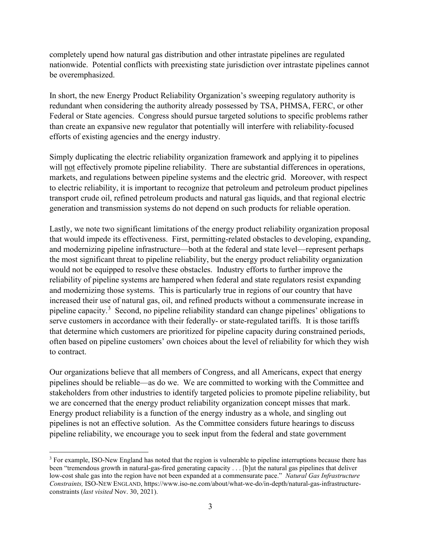completely upend how natural gas distribution and other intrastate pipelines are regulated nationwide. Potential conflicts with preexisting state jurisdiction over intrastate pipelines cannot be overemphasized.

In short, the new Energy Product Reliability Organization's sweeping regulatory authority is redundant when considering the authority already possessed by TSA, PHMSA, FERC, or other Federal or State agencies. Congress should pursue targeted solutions to specific problems rather than create an expansive new regulator that potentially will interfere with reliability-focused efforts of existing agencies and the energy industry.

Simply duplicating the electric reliability organization framework and applying it to pipelines will not effectively promote pipeline reliability. There are substantial differences in operations, markets, and regulations between pipeline systems and the electric grid. Moreover, with respect to electric reliability, it is important to recognize that petroleum and petroleum product pipelines transport crude oil, refined petroleum products and natural gas liquids, and that regional electric generation and transmission systems do not depend on such products for reliable operation.

Lastly, we note two significant limitations of the energy product reliability organization proposal that would impede its effectiveness. First, permitting-related obstacles to developing, expanding, and modernizing pipeline infrastructure—both at the federal and state level—represent perhaps the most significant threat to pipeline reliability, but the energy product reliability organization would not be equipped to resolve these obstacles. Industry efforts to further improve the reliability of pipeline systems are hampered when federal and state regulators resist expanding and modernizing those systems. This is particularly true in regions of our country that have increased their use of natural gas, oil, and refined products without a commensurate increase in pipeline capacity.<sup>[3](#page-2-0)</sup> Second, no pipeline reliability standard can change pipelines' obligations to serve customers in accordance with their federally- or state-regulated tariffs. It is those tariffs that determine which customers are prioritized for pipeline capacity during constrained periods, often based on pipeline customers' own choices about the level of reliability for which they wish to contract.

Our organizations believe that all members of Congress, and all Americans, expect that energy pipelines should be reliable—as do we. We are committed to working with the Committee and stakeholders from other industries to identify targeted policies to promote pipeline reliability, but we are concerned that the energy product reliability organization concept misses that mark. Energy product reliability is a function of the energy industry as a whole, and singling out pipelines is not an effective solution. As the Committee considers future hearings to discuss pipeline reliability, we encourage you to seek input from the federal and state government

<span id="page-2-0"></span><sup>3</sup> For example, ISO-New England has noted that the region is vulnerable to pipeline interruptions because there has been "tremendous growth in natural-gas-fired generating capacity . . . [b]ut the natural gas pipelines that deliver low-cost shale gas into the region have not been expanded at a commensurate pace." *Natural Gas Infrastructure Constraints,* ISO-NEW ENGLAND, https://www.iso-ne.com/about/what-we-do/in-depth/natural-gas-infrastructureconstraints (*last visited* Nov. 30, 2021).